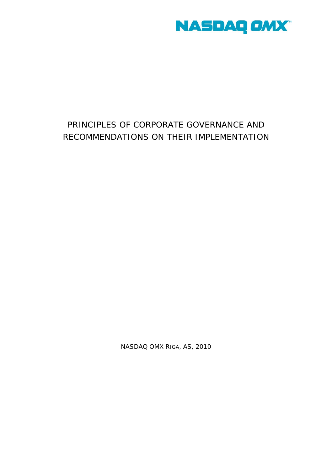

# PRINCIPLES OF CORPORATE GOVERNANCE AND RECOMMENDATIONS ON THEIR IMPLEMENTATION

NASDAQ OMX RIGA, AS, 2010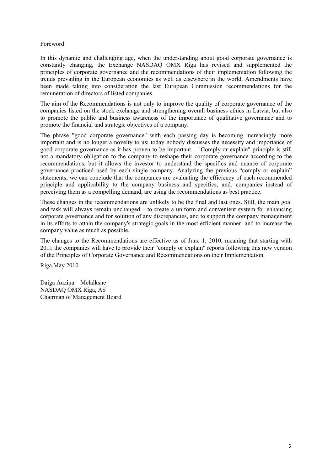## Foreword

In this dynamic and challenging age, when the understanding about good corporate governance is constantly changing, the Exchange NASDAQ OMX Riga has revised and supplemented the principles of corporate governance and the recommendations of their implementation following the trends prevailing in the European economies as well as elsewhere in the world. Amendments have been made taking into consideration the last European Commission recommendations for the remuneration of directors of listed companies.

The aim of the Recommendations is not only to improve the quality of corporate governance of the companies listed on the stock exchange and strengthening overall business ethics in Latvia, but also to promote the public and business awareness of the importance of qualitative governance and to promote the financial and strategic objectives of a company.

The phrase "good corporate governance" with each passing day is becoming increasingly more important and is no longer a novelty to us; today nobody discusses the necessity and importance of good corporate governance as it has proven to be important.. "Comply or explain" principle is still not a mandatory obligation to the company to reshape their corporate governance according to the recommendations, but it allows the investor to understand the specifics and nuance of corporate governance practiced used by each single company. Analyzing the previous "comply or explain" statements, we can conclude that the companies are evaluating the efficiency of each recommended principle and applicability to the company business and specifics, and, companies instead of perceiving them as a compelling demand, are using the recommendations as best practice.

These changes in the recommendations are unlikely to be the final and last ones. Still, the main goal and task will always remain unchanged – to create a uniform and convenient system for enhancing corporate governance and for solution of any discrepancies, and to support the company management in its efforts to attain the company's strategic goals in the most efficient manner and to increase the company value as much as possible.

The changes to the Recommendations are effective as of June 1, 2010, meaning that starting with 2011 the companies will have to provide their "comply or explain" reports following this new version of the Principles of Corporate Governance and Recommendations on their Implementation.

Riga,May 2010

Daiga Auziņa – Melalksne NASDAQ OMX Riga, AS Chairman of Management Board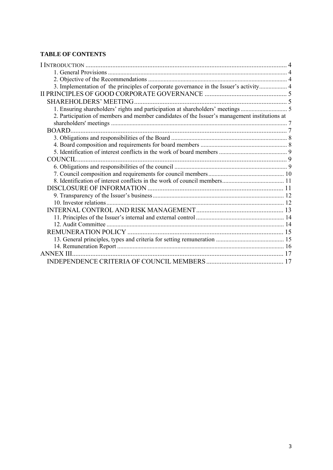# **TABLE OF CONTENTS**

| 3. Implementation of the principles of corporate governance in the Issuer's activity 4       |  |
|----------------------------------------------------------------------------------------------|--|
|                                                                                              |  |
| <b>SHAREHOLDERS' MEETING</b>                                                                 |  |
| 1. Ensuring shareholders' rights and participation at shareholders' meetings  5              |  |
| 2. Participation of members and member candidates of the Issuer's management institutions at |  |
|                                                                                              |  |
| BOARD.                                                                                       |  |
|                                                                                              |  |
|                                                                                              |  |
|                                                                                              |  |
|                                                                                              |  |
|                                                                                              |  |
|                                                                                              |  |
|                                                                                              |  |
|                                                                                              |  |
|                                                                                              |  |
|                                                                                              |  |
|                                                                                              |  |
|                                                                                              |  |
|                                                                                              |  |
|                                                                                              |  |
|                                                                                              |  |
|                                                                                              |  |
| <b>ANNEX III</b>                                                                             |  |
|                                                                                              |  |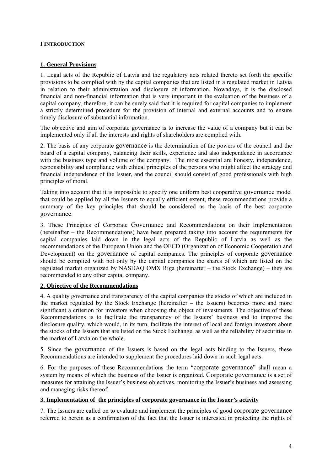## **I INTRODUCTION**

## **1. General Provisions**

1. Legal acts of the Republic of Latvia and the regulatory acts related thereto set forth the specific provisions to be complied with by the capital companies that are listed in a regulated market in Latvia in relation to their administration and disclosure of information. Nowadays, it is the disclosed financial and non-financial information that is very important in the evaluation of the business of a capital company, therefore, it can be surely said that it is required for capital companies to implement a strictly determined procedure for the provision of internal and external accounts and to ensure timely disclosure of substantial information.

The objective and aim of corporate governance is to increase the value of a company but it can be implemented only if all the interests and rights of shareholders are complied with.

2. The basis of any corporate governance is the determination of the powers of the council and the board of a capital company, balancing their skills, experience and also independence in accordance with the business type and volume of the company. The most essential are honesty, independence, responsibility and compliance with ethical principles of the persons who might affect the strategy and financial independence of the Issuer, and the council should consist of good professionals with high principles of moral.

Taking into account that it is impossible to specify one uniform best cooperative governance model that could be applied by all the Issuers to equally efficient extent, these recommendations provide a summary of the key principles that should be considered as the basis of the best corporate governance.

3. These Principles of Corporate Governance and Recommendations on their Implementation (hereinafter – the Recommendations) have been prepared taking into account the requirements for capital companies laid down in the legal acts of the Republic of Latvia as well as the recommendations of the European Union and the OECD (Organization of Economic Cooperation and Development) on the governance of capital companies. The principles of corporate governance should be complied with not only by the capital companies the shares of which are listed on the regulated market organized by NASDAQ OMX Riga (hereinafter – the Stock Exchange) – they are recommended to any other capital company.

# **2. Objective of the Recommendations**

4. A quality governance and transparency of the capital companies the stocks of which are included in the market regulated by the Stock Exchange (hereinafter – the Issuers) becomes more and more significant a criterion for investors when choosing the object of investments. The objective of these Recommendations is to facilitate the transparency of the Issuers' business and to improve the disclosure quality, which would, in its turn, facilitate the interest of local and foreign investors about the stocks of the Issuers that are listed on the Stock Exchange, as well as the reliability of securities in the market of Latvia on the whole.

5. Since the governance of the Issuers is based on the legal acts binding to the Issuers, these Recommendations are intended to supplement the procedures laid down in such legal acts.

6. For the purposes of these Recommendations the term "corporate governance" shall mean a system by means of which the business of the Issuer is organized. Corporate governance is a set of measures for attaining the Issuer's business objectives, monitoring the Issuer's business and assessing and managing risks thereof.

## **3. Implementation of the principles of corporate governance in the Issuer's activity**

7. The Issuers are called on to evaluate and implement the principles of good corporate governance referred to herein as a confirmation of the fact that the Issuer is interested in protecting the rights of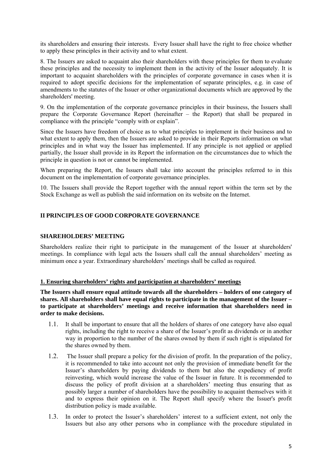its shareholders and ensuring their interests. Every Issuer shall have the right to free choice whether to apply these principles in their activity and to what extent.

8. The Issuers are asked to acquaint also their shareholders with these principles for them to evaluate these principles and the necessity to implement them in the activity of the Issuer adequately. It is important to acquaint shareholders with the principles of corporate governance in cases when it is required to adopt specific decisions for the implementation of separate principles, e.g. in case of amendments to the statutes of the Issuer or other organizational documents which are approved by the shareholders' meeting.

9. On the implementation of the corporate governance principles in their business, the Issuers shall prepare the Corporate Governance Report (hereinafter – the Report) that shall be prepared in compliance with the principle "comply with or explain".

Since the Issuers have freedom of choice as to what principles to implement in their business and to what extent to apply them, then the Issuers are asked to provide in their Reports information on what principles and in what way the Issuer has implemented. If any principle is not applied or applied partially, the Issuer shall provide in its Report the information on the circumstances due to which the principle in question is not or cannot be implemented.

When preparing the Report, the Issuers shall take into account the principles referred to in this document on the implementation of corporate governance principles.

10. The Issuers shall provide the Report together with the annual report within the term set by the Stock Exchange as well as publish the said information on its website on the Internet.

## **II PRINCIPLES OF GOOD CORPORATE GOVERNANCE**

## **SHAREHOLDERS' MEETING**

Shareholders realize their right to participate in the management of the Issuer at shareholders' meetings. In compliance with legal acts the Issuers shall call the annual shareholders' meeting as minimum once a year. Extraordinary shareholders' meetings shall be called as required.

## **1. Ensuring shareholders' rights and participation at shareholders' meetings**

**The Issuers shall ensure equal attitude towards all the shareholders – holders of one category of shares. All shareholders shall have equal rights to participate in the management of the Issuer – to participate at shareholders' meetings and receive information that shareholders need in order to make decisions.** 

- 1.1. It shall be important to ensure that all the holders of shares of one category have also equal rights, including the right to receive a share of the Issuer's profit as dividends or in another way in proportion to the number of the shares owned by them if such right is stipulated for the shares owned by them.
- 1.2. The Issuer shall prepare a policy for the division of profit. In the preparation of the policy, it is recommended to take into account not only the provision of immediate benefit for the Issuer's shareholders by paying dividends to them but also the expediency of profit reinvesting, which would increase the value of the Issuer in future. It is recommended to discuss the policy of profit division at a shareholders' meeting thus ensuring that as possibly larger a number of shareholders have the possibility to acquaint themselves with it and to express their opinion on it. The Report shall specify where the Issuer's profit distribution policy is made available.
- 1.3. In order to protect the Issuer's shareholders' interest to a sufficient extent, not only the Issuers but also any other persons who in compliance with the procedure stipulated in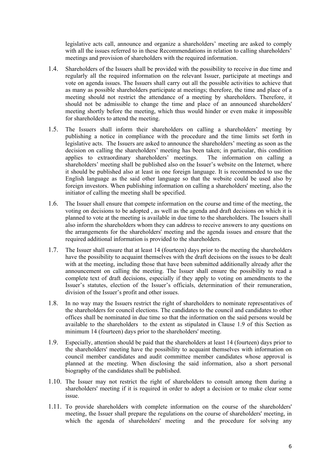legislative acts call, announce and organize a shareholders' meeting are asked to comply with all the issues referred to in these Recommendations in relation to calling shareholders' meetings and provision of shareholders with the required information.

- 1.4. Shareholders of the Issuers shall be provided with the possibility to receive in due time and regularly all the required information on the relevant Issuer, participate at meetings and vote on agenda issues. The Issuers shall carry out all the possible activities to achieve that as many as possible shareholders participate at meetings; therefore, the time and place of a meeting should not restrict the attendance of a meeting by shareholders. Therefore, it should not be admissible to change the time and place of an announced shareholders' meeting shortly before the meeting, which thus would hinder or even make it impossible for shareholders to attend the meeting.
- 1.5. The Issuers shall inform their shareholders on calling a shareholders' meeting by publishing a notice in compliance with the procedure and the time limits set forth in legislative acts. The Issuers are asked to announce the shareholders' meeting as soon as the decision on calling the shareholders' meeting has been taken; in particular, this condition applies to extraordinary shareholders' meetings. The information on calling a shareholders' meeting shall be published also on the Issuer's website on the Internet, where it should be published also at least in one foreign language. It is recommended to use the English language as the said other language so that the website could be used also by foreign investors. When publishing information on calling a shareholders' meeting, also the initiator of calling the meeting shall be specified.
- 1.6. The Issuer shall ensure that compete information on the course and time of the meeting, the voting on decisions to be adopted , as well as the agenda and draft decisions on which it is planned to vote at the meeting is available in due time to the shareholders. The Issuers shall also inform the shareholders whom they can address to receive answers to any questions on the arrangements for the shareholders' meeting and the agenda issues and ensure that the required additional information is provided to the shareholders.
- 1.7. The Issuer shall ensure that at least 14 (fourteen) days prior to the meeting the shareholders have the possibility to acquaint themselves with the draft decisions on the issues to be dealt with at the meeting, including those that have been submitted additionally already after the announcement on calling the meeting. The Issuer shall ensure the possibility to read a complete text of draft decisions, especially if they apply to voting on amendments to the Issuer's statutes, election of the Issuer's officials, determination of their remuneration, division of the Issuer's profit and other issues.
- 1.8. In no way may the Issuers restrict the right of shareholders to nominate representatives of the shareholders for council elections. The candidates to the council and candidates to other offices shall be nominated in due time so that the information on the said persons would be available to the shareholders to the extent as stipulated in Clause 1.9 of this Section as minimum 14 (fourteen) days prior to the shareholders' meeting.
- 1.9. Especially, attention should be paid that the shareholders at least 14 (fourteen) days prior to the shareholders' meeting have the possibility to acquaint themselves with information on council member candidates and audit committee member candidates whose approval is planned at the meeting. When disclosing the said information, also a short personal biography of the candidates shall be published.
- 1.10. The Issuer may not restrict the right of shareholders to consult among them during a shareholders' meeting if it is required in order to adopt a decision or to make clear some issue.
- 1.11. To provide shareholders with complete information on the course of the shareholders' meeting, the Issuer shall prepare the regulations on the course of shareholders' meeting, in which the agenda of shareholders' meeting and the procedure for solving any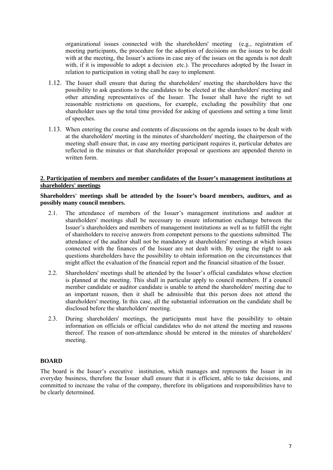organizational issues connected with the shareholders' meeting (e.g., registration of meeting participants, the procedure for the adoption of decisions on the issues to be dealt with at the meeting, the Issuer's actions in case any of the issues on the agenda is not dealt with, if it is impossible to adopt a decision etc.). The procedures adopted by the Issuer in relation to participation in voting shall be easy to implement.

- 1.12. The Issuer shall ensure that during the shareholders' meeting the shareholders have the possibility to ask questions to the candidates to be elected at the shareholders' meeting and other attending representatives of the Issuer. The Issuer shall have the right to set reasonable restrictions on questions, for example, excluding the possibility that one shareholder uses up the total time provided for asking of questions and setting a time limit of speeches.
- 1.13. When entering the course and contents of discussions on the agenda issues to be dealt with at the shareholders' meeting in the minutes of shareholders' meeting, the chairperson of the meeting shall ensure that, in case any meeting participant requires it, particular debates are reflected in the minutes or that shareholder proposal or questions are appended thereto in written form.

## **2. Participation of members and member candidates of the Issuer's management institutions at shareholders' meetings**

## **Shareholders' meetings shall be attended by the Issuer's board members, auditors, and as possibly many council members.**

- 2.1. The attendance of members of the Issuer's management institutions and auditor at shareholders' meetings shall be necessary to ensure information exchange between the Issuer's shareholders and members of management institutions as well as to fulfill the right of shareholders to receive answers from competent persons to the questions submitted. The attendance of the auditor shall not be mandatory at shareholders' meetings at which issues connected with the finances of the Issuer are not dealt with. By using the right to ask questions shareholders have the possibility to obtain information on the circumstances that might affect the evaluation of the financial report and the financial situation of the Issuer.
- 2.2. Shareholders' meetings shall be attended by the Issuer's official candidates whose election is planned at the meeting. This shall in particular apply to council members. If a council member candidate or auditor candidate is unable to attend the shareholders' meeting due to an important reason, then it shall be admissible that this person does not attend the shareholders' meeting. In this case, all the substantial information on the candidate shall be disclosed before the shareholders' meeting.
- 2.3. During shareholders' meetings, the participants must have the possibility to obtain information on officials or official candidates who do not attend the meeting and reasons thereof. The reason of non-attendance should be entered in the minutes of shareholders' meeting.

# **BOARD**

The board is the Issuer's executive institution, which manages and represents the Issuer in its everyday business, therefore the Issuer shall ensure that it is efficient, able to take decisions, and committed to increase the value of the company, therefore its obligations and responsibilities have to be clearly determined.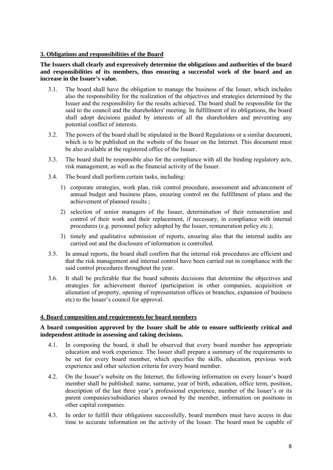## **3. Obligations and responsibilities of the Board**

## **The Issuers shall clearly and expressively determine the obligations and authorities of the board and responsibilities of its members, thus ensuring a successful work of the board and an increase in the Issuer's value.**

- 3.1. The board shall have the obligation to manage the business of the Issuer, which includes also the responsibility for the realization of the objectives and strategies determined by the Issuer and the responsibility for the results achieved. The board shall be responsible for the said to the council and the shareholders' meeting. In fulfillment of its obligations, the board shall adopt decisions guided by interests of all the shareholders and preventing any potential conflict of interests.
- 3.2. The powers of the board shall be stipulated in the Board Regulations or a similar document, which is to be published on the website of the Issuer on the Internet. This document must be also available at the registered office of the Issuer.
- 3.3. The board shall be responsible also for the compliance with all the binding regulatory acts, risk management, as well as the financial activity of the Issuer.
- 3.4. The board shall perform certain tasks, including:
	- 1) corporate strategies, work plan, risk control procedure, assessment and advancement of annual budget and business plans, ensuring control on the fulfillment of plans and the achievement of planned results ;
	- 2) selection of senior managers of the Issuer, determination of their remuneration and control of their work and their replacement, if necessary, in compliance with internal procedures (e.g. personnel policy adopted by the Issuer, remuneration policy etc.);
	- 3) timely and qualitative submission of reports, ensuring also that the internal audits are carried out and the disclosure of information is controlled.
- 3.5. In annual reports, the board shall confirm that the internal risk procedures are efficient and that the risk management and internal control have been carried out in compliance with the said control procedures throughout the year.
- 3.6. It shall be preferable that the board submits decisions that determine the objectives and strategies for achievement thereof (participation in other companies, acquisition or alienation of property, opening of representation offices or branches, expansion of business etc) to the Issuer's council for approval.

## **4. Board composition and requirements for board members**

## **A board composition approved by the Issuer shall be able to ensure sufficiently critical and independent attitude in assessing and taking decisions.**

- 4.1. In composing the board, it shall be observed that every board member has appropriate education and work experience. The Issuer shall prepare a summary of the requirements to be set for every board member, which specifies the skills, education, previous work experience and other selection criteria for every board member.
- 4.2. On the Issuer's website on the Internet, the following information on every Issuer's board member shall be published: name, surname, year of birth, education, office term, position, description of the last three year's professional experience, number of the Issuer's or its parent companies/subsidiaries shares owned by the member, information on positions in other capital companies.
- 4.3. In order to fulfill their obligations successfully, board members must have access in due time to accurate information on the activity of the Issuer. The board must be capable of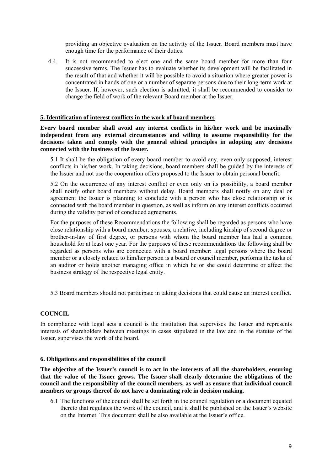providing an objective evaluation on the activity of the Issuer. Board members must have enough time for the performance of their duties.

4.4. It is not recommended to elect one and the same board member for more than four successive terms. The Issuer has to evaluate whether its development will be facilitated in the result of that and whether it will be possible to avoid a situation where greater power is concentrated in hands of one or a number of separate persons due to their long-term work at the Issuer. If, however, such election is admitted, it shall be recommended to consider to change the field of work of the relevant Board member at the Issuer.

## **5. Identification of interest conflicts in the work of board members**

**Every board member shall avoid any interest conflicts in his/her work and be maximally independent from any external circumstances and willing to assume responsibility for the decisions taken and comply with the general ethical principles in adopting any decisions connected with the business of the Issuer.** 

5.1 It shall be the obligation of every board member to avoid any, even only supposed, interest conflicts in his/her work. In taking decisions, board members shall be guided by the interests of the Issuer and not use the cooperation offers proposed to the Issuer to obtain personal benefit.

5.2 On the occurrence of any interest conflict or even only on its possibility, a board member shall notify other board members without delay. Board members shall notify on any deal or agreement the Issuer is planning to conclude with a person who has close relationship or is connected with the board member in question, as well as inform on any interest conflicts occurred during the validity period of concluded agreements.

For the purposes of these Recommendations the following shall be regarded as persons who have close relationship with a board member: spouses, a relative, including kinship of second degree or brother-in-law of first degree, or persons with whom the board member has had a common household for at least one year. For the purposes of these recommendations the following shall be regarded as persons who are connected with a board member: legal persons where the board member or a closely related to him/her person is a board or council member, performs the tasks of an auditor or holds another managing office in which he or she could determine or affect the business strategy of the respective legal entity.

5.3 Board members should not participate in taking decisions that could cause an interest conflict.

## **COUNCIL**

In compliance with legal acts a council is the institution that supervises the Issuer and represents interests of shareholders between meetings in cases stipulated in the law and in the statutes of the Issuer, supervises the work of the board.

#### **6. Obligations and responsibilities of the council**

**The objective of the Issuer's council is to act in the interests of all the shareholders, ensuring that the value of the Issuer grows. The Issuer shall clearly determine the obligations of the council and the responsibility of the council members, as well as ensure that individual council members or groups thereof do not have a dominating role in decision making.**

6.1 The functions of the council shall be set forth in the council regulation or a document equated thereto that regulates the work of the council, and it shall be published on the Issuer's website on the Internet. This document shall be also available at the Issuer's office.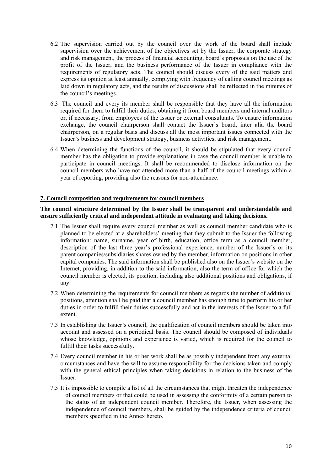- 6.2 The supervision carried out by the council over the work of the board shall include supervision over the achievement of the objectives set by the Issuer, the corporate strategy and risk management, the process of financial accounting, board's proposals on the use of the profit of the Issuer, and the business performance of the Issuer in compliance with the requirements of regulatory acts. The council should discuss every of the said matters and express its opinion at least annually, complying with frequency of calling council meetings as laid down in regulatory acts, and the results of discussions shall be reflected in the minutes of the council's meetings.
- 6.3 The council and every its member shall be responsible that they have all the information required for them to fulfill their duties, obtaining it from board members and internal auditors or, if necessary, from employees of the Issuer or external consultants. To ensure information exchange, the council chairperson shall contact the Issuer's board, inter alia the board chairperson, on a regular basis and discuss all the most important issues connected with the Issuer's business and development strategy, business activities, and risk management.
- 6.4 When determining the functions of the council, it should be stipulated that every council member has the obligation to provide explanations in case the council member is unable to participate in council meetings. It shall be recommended to disclose information on the council members who have not attended more than a half of the council meetings within a year of reporting, providing also the reasons for non-attendance.

## **7. Council composition and requirements for council members**

## **The council structure determined by the Issuer shall be transparent and understandable and ensure sufficiently critical and independent attitude in evaluating and taking decisions.**

- 7.1 The Issuer shall require every council member as well as council member candidate who is planned to be elected at a shareholders' meeting that they submit to the Issuer the following information: name, surname, year of birth, education, office term as a council member, description of the last three year's professional experience, number of the Issuer's or its parent companies/subsidiaries shares owned by the member, information on positions in other capital companies. The said information shall be published also on the Issuer's website on the Internet, providing, in addition to the said information, also the term of office for which the council member is elected, its position, including also additional positions and obligations, if any.
- 7.2 When determining the requirements for council members as regards the number of additional positions, attention shall be paid that a council member has enough time to perform his or her duties in order to fulfill their duties successfully and act in the interests of the Issuer to a full extent.
- 7.3 In establishing the Issuer's council, the qualification of council members should be taken into account and assessed on a periodical basis. The council should be composed of individuals whose knowledge, opinions and experience is varied, which is required for the council to fulfill their tasks successfully.
- 7.4 Every council member in his or her work shall be as possibly independent from any external circumstances and have the will to assume responsibility for the decisions taken and comply with the general ethical principles when taking decisions in relation to the business of the Issuer.
- 7.5 It is impossible to compile a list of all the circumstances that might threaten the independence of council members or that could be used in assessing the conformity of a certain person to the status of an independent council member. Therefore, the Issuer, when assessing the independence of council members, shall be guided by the independence criteria of council members specified in the Annex hereto.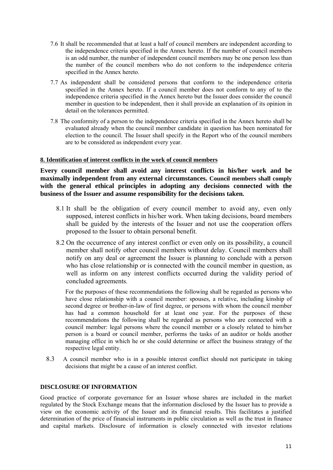- 7.6 It shall be recommended that at least a half of council members are independent according to the independence criteria specified in the Annex hereto. If the number of council members is an odd number, the number of independent council members may be one person less than the number of the council members who do not conform to the independence criteria specified in the Annex hereto.
- 7.7 As independent shall be considered persons that conform to the independence criteria specified in the Annex hereto. If a council member does not conform to any of to the independence criteria specified in the Annex hereto but the Issuer does consider the council member in question to be independent, then it shall provide an explanation of its opinion in detail on the tolerances permitted.
- 7.8 The conformity of a person to the independence criteria specified in the Annex hereto shall be evaluated already when the council member candidate in question has been nominated for election to the council. The Issuer shall specify in the Report who of the council members are to be considered as independent every year.

## **8. Identification of interest conflicts in the work of council members**

**Every council member shall avoid any interest conflicts in his/her work and be maximally independent from any external circumstances. Council members shall comply with the general ethical principles in adopting any decisions connected with the business of the Issuer and assume responsibility for the decisions taken.** 

- 8.1 It shall be the obligation of every council member to avoid any, even only supposed, interest conflicts in his/her work. When taking decisions, board members shall be guided by the interests of the Issuer and not use the cooperation offers proposed to the Issuer to obtain personal benefit.
- 8.2 On the occurrence of any interest conflict or even only on its possibility, a council member shall notify other council members without delay. Council members shall notify on any deal or agreement the Issuer is planning to conclude with a person who has close relationship or is connected with the council member in question, as well as inform on any interest conflicts occurred during the validity period of concluded agreements.

For the purposes of these recommendations the following shall be regarded as persons who have close relationship with a council member: spouses, a relative, including kinship of second degree or brother-in-law of first degree, or persons with whom the council member has had a common household for at least one year. For the purposes of these recommendations the following shall be regarded as persons who are connected with a council member: legal persons where the council member or a closely related to him/her person is a board or council member, performs the tasks of an auditor or holds another managing office in which he or she could determine or affect the business strategy of the respective legal entity.

8.3 A council member who is in a possible interest conflict should not participate in taking decisions that might be a cause of an interest conflict.

## **DISCLOSURE OF INFORMATION**

Good practice of corporate governance for an Issuer whose shares are included in the market regulated by the Stock Exchange means that the information disclosed by the Issuer has to provide a view on the economic activity of the Issuer and its financial results. This facilitates a justified determination of the price of financial instruments in public circulation as well as the trust in finance and capital markets. Disclosure of information is closely connected with investor relations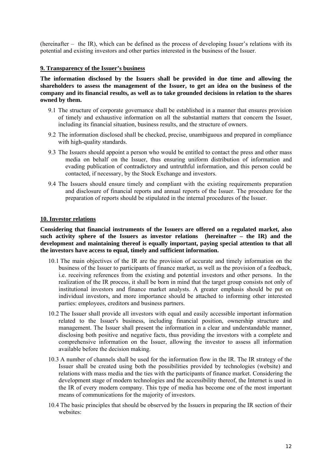(hereinafter – the IR), which can be defined as the process of developing Issuer's relations with its potential and existing investors and other parties interested in the business of the Issuer.

## **9. Transparency of the Issuer's business**

**The information disclosed by the Issuers shall be provided in due time and allowing the shareholders to assess the management of the Issuer, to get an idea on the business of the company and its financial results, as well as to take grounded decisions in relation to the shares owned by them.** 

- 9.1 The structure of corporate governance shall be established in a manner that ensures provision of timely and exhaustive information on all the substantial matters that concern the Issuer, including its financial situation, business results, and the structure of owners.
- 9.2 The information disclosed shall be checked, precise, unambiguous and prepared in compliance with high-quality standards.
- 9.3 The Issuers should appoint a person who would be entitled to contact the press and other mass media on behalf on the Issuer, thus ensuring uniform distribution of information and evading publication of contradictory and untruthful information, and this person could be contacted, if necessary, by the Stock Exchange and investors.
- 9.4 The Issuers should ensure timely and compliant with the existing requirements preparation and disclosure of financial reports and annual reports of the Issuer. The procedure for the preparation of reports should be stipulated in the internal procedures of the Issuer.

#### **10. Investor relations**

**Considering that financial instruments of the Issuers are offered on a regulated market, also such activity sphere of the Issuers as investor relations (hereinafter – the IR) and the development and maintaining thereof is equally important, paying special attention to that all the investors have access to equal, timely and sufficient information.** 

- 10.1 The main objectives of the IR are the provision of accurate and timely information on the business of the Issuer to participants of finance market, as well as the provision of a feedback, i.e. receiving references from the existing and potential investors and other persons. In the realization of the IR process, it shall be born in mind that the target group consists not only of institutional investors and finance market analysts. A greater emphasis should be put on individual investors, and more importance should be attached to informing other interested parties: employees, creditors and business partners.
- 10.2 The Issuer shall provide all investors with equal and easily accessible important information related to the Issuer's business, including financial position, ownership structure and management. The Issuer shall present the information in a clear and understandable manner, disclosing both positive and negative facts, thus providing the investors with a complete and comprehensive information on the Issuer, allowing the investor to assess all information available before the decision making.
- 10.3 A number of channels shall be used for the information flow in the IR. The IR strategy of the Issuer shall be created using both the possibilities provided by technologies (website) and relations with mass media and the ties with the participants of finance market. Considering the development stage of modern technologies and the accessibility thereof, the Internet is used in the IR of every modern company. This type of media has become one of the most important means of communications for the majority of investors.
- 10.4 The basic principles that should be observed by the Issuers in preparing the IR section of their websites: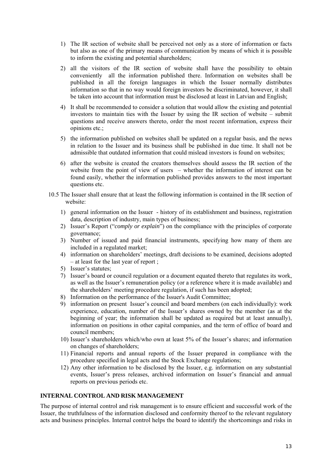- 1) The IR section of website shall be perceived not only as a store of information or facts but also as one of the primary means of communication by means of which it is possible to inform the existing and potential shareholders;
- 2) all the visitors of the IR section of website shall have the possibility to obtain conveniently all the information published there. Information on websites shall be published in all the foreign languages in which the Issuer normally distributes information so that in no way would foreign investors be discriminated, however, it shall be taken into account that information must be disclosed at least in Latvian and English;
- 4) It shall be recommended to consider a solution that would allow the existing and potential investors to maintain ties with the Issuer by using the IR section of website – submit questions and receive answers thereto, order the most recent information, express their opinions etc.;
- 5) the information published on websites shall be updated on a regular basis, and the news in relation to the Issuer and its business shall be published in due time. It shall not be admissible that outdated information that could mislead investors is found on websites;
- 6) after the website is created the creators themselves should assess the IR section of the website from the point of view of users – whether the information of interest can be found easily, whether the information published provides answers to the most important questions etc.
- 10.5 The Issuer shall ensure that at least the following information is contained in the IR section of website:
	- 1) general information on the Issuer history of its establishment and business, registration data, description of industry, main types of business;
	- 2) Issuer's Report ("*comply or explain*") on the compliance with the principles of corporate governance;
	- 3) Number of issued and paid financial instruments, specifying how many of them are included in a regulated market;
	- 4) information on shareholders' meetings, draft decisions to be examined, decisions adopted – at least for the last year of report ;
	- 5) Issuer's statutes;
	- 7) Issuer's board or council regulation or a document equated thereto that regulates its work, as well as the Issuer's remuneration policy (or a reference where it is made available) and the shareholders' meeting procedure regulation, if such has been adopted;
	- 8) Information on the performance of the Issuer's Audit Committee;
	- 9) information on present Issuer's council and board members (on each individually): work experience, education, number of the Issuer's shares owned by the member (as at the beginning of year; the information shall be updated as required but at least annually), information on positions in other capital companies, and the term of office of board and council members;
	- 10) Issuer's shareholders which/who own at least 5% of the Issuer's shares; and information on changes of shareholders;
	- 11) Financial reports and annual reports of the Issuer prepared in compliance with the procedure specified in legal acts and the Stock Exchange regulations;
	- 12) Any other information to be disclosed by the Issuer, e.g. information on any substantial events, Issuer's press releases, archived information on Issuer's financial and annual reports on previous periods etc.

## **INTERNAL CONTROL AND RISK MANAGEMENT**

The purpose of internal control and risk management is to ensure efficient and successful work of the Issuer, the truthfulness of the information disclosed and conformity thereof to the relevant regulatory acts and business principles. Internal control helps the board to identify the shortcomings and risks in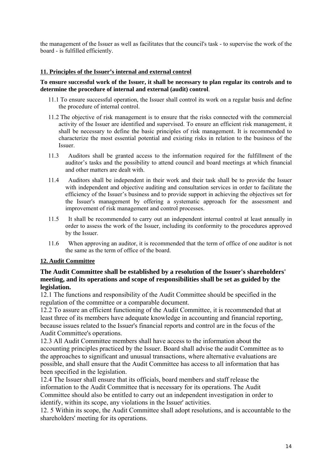the management of the Issuer as well as facilitates that the council's task - to supervise the work of the board - is fulfilled efficiently.

## **11. Principles of the Issuer's internal and external control**

## **To ensure successful work of the Issuer, it shall be necessary to plan regular its controls and to determine the procedure of internal and external (audit) control**.

- 11.1 To ensure successful operation, the Issuer shall control its work on a regular basis and define the procedure of internal control.
- 11.2 The objective of risk management is to ensure that the risks connected with the commercial activity of the Issuer are identified and supervised. To ensure an efficient risk management, it shall be necessary to define the basic principles of risk management. It is recommended to characterize the most essential potential and existing risks in relation to the business of the Issuer.
- 11.3 Auditors shall be granted access to the information required for the fulfillment of the auditor's tasks and the possibility to attend council and board meetings at which financial and other matters are dealt with.
- 11.4 Auditors shall be independent in their work and their task shall be to provide the Issuer with independent and objective auditing and consultation services in order to facilitate the efficiency of the Issuer's business and to provide support in achieving the objectives set for the Issuer's management by offering a systematic approach for the assessment and improvement of risk management and control processes.
- 11.5 It shall be recommended to carry out an independent internal control at least annually in order to assess the work of the Issuer, including its conformity to the procedures approved by the Issuer.
- 11.6 When approving an auditor, it is recommended that the term of office of one auditor is not the same as the term of office of the board.

## **12. Audit Committee**

# **The Audit Committee shall be established by a resolution of the Issuer's shareholders' meeting, and its operations and scope of responsibilities shall be set as guided by the legislation.**

12.1 The functions and responsibility of the Audit Committee should be specified in the regulation of the committee or a comparable document.

12.2 To assure an efficient functioning of the Audit Committee, it is recommended that at least three of its members have adequate knowledge in accounting and financial reporting, because issues related to the Issuer's financial reports and control are in the focus of the Audit Committee's operations.

12.3 All Audit Committee members shall have access to the information about the accounting principles practiced by the Issuer. Board shall advise the audit Committee as to the approaches to significant and unusual transactions, where alternative evaluations are possible, and shall ensure that the Audit Committee has access to all information that has been specified in the legislation.

12.4 The Issuer shall ensure that its officials, board members and staff release the information to the Audit Committee that is necessary for its operations. The Audit Committee should also be entitled to carry out an independent investigation in order to identify, within its scope, any violations in the Issuer' activities.

12. 5 Within its scope, the Audit Committee shall adopt resolutions, and is accountable to the shareholders' meeting for its operations.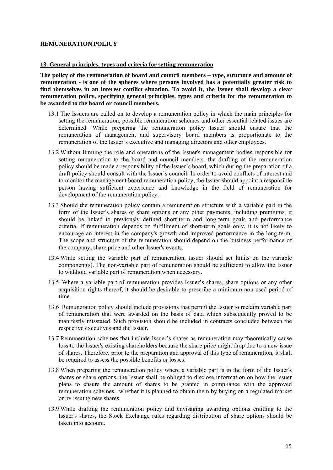## **REMUNERATION POLICY**

#### **13. General principles, types and criteria for setting remuneration**

**The policy of the remuneration of board and council members – type, structure and amount of remuneration - is one of the spheres where persons involved has a potentially greater risk to find themselves in an interest conflict situation. To avoid it, the Issuer shall develop a clear remuneration policy, specifying general principles, types and criteria for the remuneration to be awarded to the board or council members.** 

- 13.1 The Issuers are called on to develop a remuneration policy in which the main principles for setting the remuneration, possible remuneration schemes and other essential related issues are determined. While preparing the remuneration policy Issuer should ensure that the remuneration of management and supervisory board members is proportionate to the remuneration of the Issuer's executive and managing directors and other employees.
- 13.2 Without limiting the role and operations of the Issuer's management bodies responsible for setting remuneration to the board and council members, the drafting of the remuneration policy should be made a responsibility of the Issuer's board, which during the preparation of a draft policy should consult with the Issuer's council. In order to avoid conflicts of interest and to monitor the management board remuneration policy, the Issuer should appoint a responsible person having sufficient experience and knowledge in the field of remuneration for development of the remuneration policy.
- 13.3 Should the remuneration policy contain a remuneration structure with a variable part in the form of the Issuer's shares or share options or any other payments, including premiums, it should be linked to previously defined short-term and long-term goals and performance criteria. If remuneration depends on fulfillment of short-term goals only, it is not likely to encourage an interest in the company's growth and improved performance in the long-term. The scope and structure of the remuneration should depend on the business performance of the company, share price and other Issuer's events.
- 13.4 While setting the variable part of remuneration, Issuer should set limits on the variable component(s). The non-variable part of remuneration should be sufficient to allow the Issuer to withhold variable part of remuneration when necessary.
- 13.5 Where a variable part of remuneration provides Issuer's shares, share options or any other acquisition rights thereof, it should be desirable to prescribe a minimum non-used period of time.
- 13.6 Remuneration policy should include provisions that permit the Issuer to reclaim variable part of remuneration that were awarded on the basis of data which subsequently proved to be manifestly misstated. Such provision should be included in contracts concluded between the respective executives and the Issuer.
- 13.7 Remuneration schemes that include Issuer's shares as remuneration may theoretically cause loss to the Issuer's existing shareholders because the share price might drop due to a new issue of shares. Therefore, prior to the preparation and approval of this type of remuneration, it shall be required to assess the possible benefits or losses.
- 13.8 When preparing the remuneration policy where a variable part is in the form of the Issuer's shares or share options, the Issuer shall be obliged to disclose information on how the Issuer plans to ensure the amount of shares to be granted in compliance with the approved remuneration schemes– whether it is planned to obtain them by buying on a regulated market or by issuing new shares.
- 13.9 While drafting the remuneration policy and envisaging awarding options entitling to the Issuer's shares, the Stock Exchange rules regarding distribution of share options should be taken into account.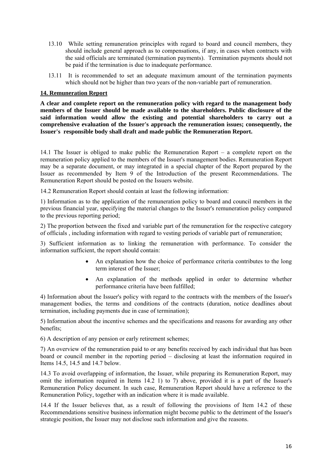- 13.10 While setting remuneration principles with regard to board and council members, they should include general approach as to compensations, if any, in cases when contracts with the said officials are terminated (termination payments). Termination payments should not be paid if the termination is due to inadequate performance.
- 13.11 It is recommended to set an adequate maximum amount of the termination payments which should not be higher than two years of the non-variable part of remuneration.

## **14. Remuneration Report**

**A clear and complete report on the remuneration policy with regard to the management body members of the Issuer should be made available to the shareholders. Public disclosure of the said information would allow the existing and potential shareholders to carry out a comprehensive evaluation of the Issuer's approach the remuneration issues; consequently, the Issuer's responsible body shall draft and made public the Remuneration Report.** 

14.1 The Issuer is obliged to make public the Remuneration Report – a complete report on the remuneration policy applied to the members of the Issuer's management bodies. Remuneration Report may be a separate document, or may integrated in a special chapter of the Report prepared by the Issuer as recommended by Item 9 of the Introduction of the present Recommendations. The Remuneration Report should be posted on the Issuers website.

14.2 Remuneration Report should contain at least the following information:

1) Information as to the application of the remuneration policy to board and council members in the previous financial year, specifying the material changes to the Issuer's remuneration policy compared to the previous reporting period;

2) The proportion between the fixed and variable part of the remuneration for the respective category of officials , including information with regard to vesting periods of variable part of remuneration;

3) Sufficient information as to linking the remuneration with performance. To consider the information sufficient, the report should contain:

- An explanation how the choice of performance criteria contributes to the long term interest of the Issuer;
- An explanation of the methods applied in order to determine whether performance criteria have been fulfilled;

4) Information about the Issuer's policy with regard to the contracts with the members of the Issuer's management bodies, the terms and conditions of the contracts (duration, notice deadlines about termination, including payments due in case of termination);

5) Information about the incentive schemes and the specifications and reasons for awarding any other benefits;

6) A description of any pension or early retirement schemes;

7) An overview of the remuneration paid to or any benefits received by each individual that has been board or council member in the reporting period – disclosing at least the information required in Items 14.5, 14.5 and 14.7 below.

14.3 To avoid overlapping of information, the Issuer, while preparing its Remuneration Report, may omit the information required in Items 14.2 1) to 7) above, provided it is a part of the Issuer's Remuneration Policy document. In such case, Remuneration Report should have a reference to the Remuneration Policy, together with an indication where it is made available.

14.4 If the Issuer believes that, as a result of following the provisions of Item 14.2 of these Recommendations sensitive business information might become public to the detriment of the Issuer's strategic position, the Issuer may not disclose such information and give the reasons.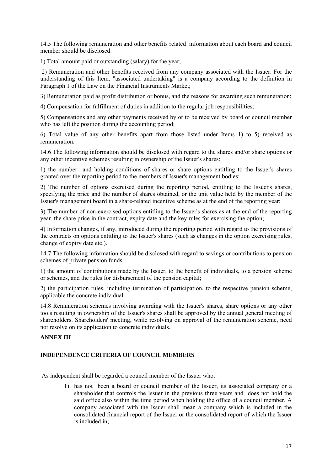14.5 The following remuneration and other benefits related information about each board and council member should be disclosed:

1) Total amount paid or outstanding (salary) for the year;

 2) Remuneration and other benefits received from any company associated with the Issuer. For the understanding of this Item, "associated undertaking" is a company according to the definition in Paragraph 1 of the Law on the Financial Instruments Market;

3) Remuneration paid as profit distribution or bonus, and the reasons for awarding such remuneration;

4) Compensation for fulfillment of duties in addition to the regular job responsibilities;

5) Compensations and any other payments received by or to be received by board or council member who has left the position during the accounting period:

6) Total value of any other benefits apart from those listed under Items 1) to 5) received as remuneration.

14.6 The following information should be disclosed with regard to the shares and/or share options or any other incentive schemes resulting in ownership of the Issuer's shares:

1) the number and holding conditions of shares or share options entitling to the Issuer's shares granted over the reporting period to the members of Issuer's management bodies;

2) The number of options exercised during the reporting period, entitling to the Issuer's shares, specifying the price and the number of shares obtained, or the unit value held by the member of the Issuer's management board in a share-related incentive scheme as at the end of the reporting year;

3) The number of non-exercised options entitling to the Issuer's shares as at the end of the reporting year, the share price in the contract, expiry date and the key rules for exercising the option;

4) Information changes, if any, introduced during the reporting period with regard to the provisions of the contracts on options entitling to the Issuer's shares (such as changes in the option exercising rules, change of expiry date etc.).

14.7 The following information should be disclosed with regard to savings or contributions to pension schemes of private pension funds:

1) the amount of contributions made by the Issuer, to the benefit of individuals, to a pension scheme or schemes, and the rules for disbursement of the pension capital;

2) the participation rules, including termination of participation, to the respective pension scheme, applicable the concrete individual.

14.8 Remuneration schemes involving awarding with the Issuer's shares, share options or any other tools resulting in ownership of the Issuer's shares shall be approved by the annual general meeting of shareholders. Shareholders' meeting, while resolving on approval of the remuneration scheme, need not resolve on its application to concrete individuals.

# **ANNEX III**

#### **INDEPENDENCE CRITERIA OF COUNCIL MEMBERS**

As independent shall be regarded a council member of the Issuer who:

1) has not been a board or council member of the Issuer, its associated company or a shareholder that controls the Issuer in the previous three years and does not hold the said office also within the time period when holding the office of a council member. A company associated with the Issuer shall mean a company which is included in the consolidated financial report of the Issuer or the consolidated report of which the Issuer is included in;